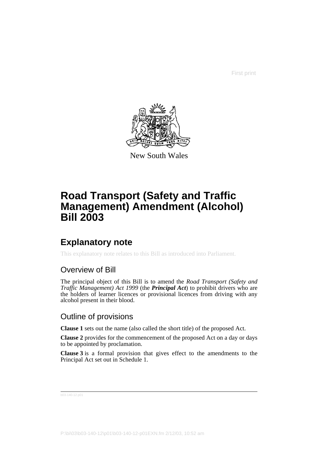First print



New South Wales

# **Road Transport (Safety and Traffic Management) Amendment (Alcohol) Bill 2003**

## **Explanatory note**

This explanatory note relates to this Bill as introduced into Parliament.

## Overview of Bill

The principal object of this Bill is to amend the *Road Transport (Safety and Traffic Management) Act 1999* (the *Principal Act*) to prohibit drivers who are the holders of learner licences or provisional licences from driving with any alcohol present in their blood.

## Outline of provisions

**Clause 1** sets out the name (also called the short title) of the proposed Act.

**Clause 2** provides for the commencement of the proposed Act on a day or days to be appointed by proclamation.

**Clause 3** is a formal provision that gives effect to the amendments to the Principal Act set out in Schedule 1.

```
b03-140-12.p01
```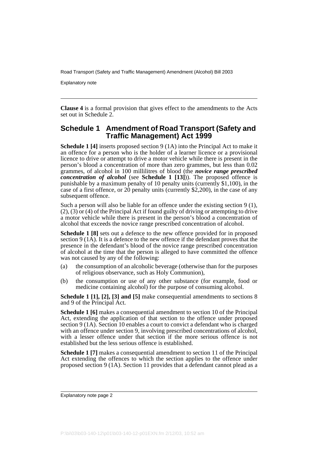Explanatory note

**Clause 4** is a formal provision that gives effect to the amendments to the Acts set out in Schedule 2.

### **Schedule 1 Amendment of Road Transport (Safety and Traffic Management) Act 1999**

**Schedule 1 [4]** inserts proposed section 9 (1A) into the Principal Act to make it an offence for a person who is the holder of a learner licence or a provisional licence to drive or attempt to drive a motor vehicle while there is present in the person's blood a concentration of more than zero grammes, but less than 0.02 grammes, of alcohol in 100 millilitres of blood (the *novice range prescribed concentration of alcohol* (see **Schedule 1 [13]**)). The proposed offence is punishable by a maximum penalty of 10 penalty units (currently \$1,100), in the case of a first offence, or  $20$  penalty units (currently \$2,200), in the case of any subsequent offence.

Such a person will also be liable for an offence under the existing section 9 (1), (2), (3) or (4) of the Principal Act if found guilty of driving or attempting to drive a motor vehicle while there is present in the person's blood a concentration of alcohol that exceeds the novice range prescribed concentration of alcohol.

**Schedule 1 [8]** sets out a defence to the new offence provided for in proposed section 9 (1A). It is a defence to the new offence if the defendant proves that the presence in the defendant's blood of the novice range prescribed concentration of alcohol at the time that the person is alleged to have committed the offence was not caused by any of the following:

- (a) the consumption of an alcoholic beverage (otherwise than for the purposes of religious observance, such as Holy Communion),
- (b) the consumption or use of any other substance (for example, food or medicine containing alcohol) for the purpose of consuming alcohol.

**Schedule 1 [1], [2], [3] and [5]** make consequential amendments to sections 8 and 9 of the Principal Act.

**Schedule 1 [6]** makes a consequential amendment to section 10 of the Principal Act, extending the application of that section to the offence under proposed section 9 (1A). Section 10 enables a court to convict a defendant who is charged with an offence under section 9, involving prescribed concentrations of alcohol, with a lesser offence under that section if the more serious offence is not established but the less serious offence is established.

**Schedule 1 [7]** makes a consequential amendment to section 11 of the Principal Act extending the offences to which the section applies to the offence under proposed section 9 (1A). Section 11 provides that a defendant cannot plead as a

Explanatory note page 2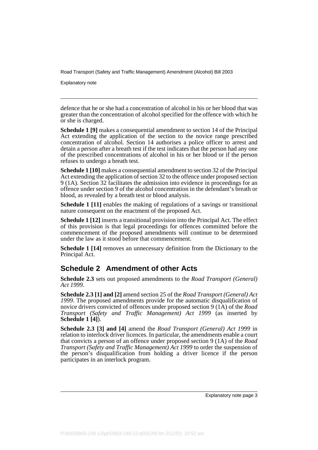Explanatory note

defence that he or she had a concentration of alcohol in his or her blood that was greater than the concentration of alcohol specified for the offence with which he or she is charged.

**Schedule 1 [9]** makes a consequential amendment to section 14 of the Principal Act extending the application of the section to the novice range prescribed concentration of alcohol. Section 14 authorises a police officer to arrest and detain a person after a breath test if the test indicates that the person had any one of the prescribed concentrations of alcohol in his or her blood or if the person refuses to undergo a breath test.

**Schedule 1 [10]** makes a consequential amendment to section 32 of the Principal Act extending the application of section 32 to the offence under proposed section 9 (1A). Section 32 facilitates the admission into evidence in proceedings for an offence under section 9 of the alcohol concentration in the defendant's breath or blood, as revealed by a breath test or blood analysis.

**Schedule 1 [11]** enables the making of regulations of a savings or transitional nature consequent on the enactment of the proposed Act.

**Schedule 1 [12]** inserts a transitional provision into the Principal Act. The effect of this provision is that legal proceedings for offences committed before the commencement of the proposed amendments will continue to be determined under the law as it stood before that commencement.

**Schedule 1 [14]** removes an unnecessary definition from the Dictionary to the Principal Act.

### **Schedule 2 Amendment of other Acts**

**Schedule 2.3** sets out proposed amendments to the *Road Transport (General) Act 1999*.

**Schedule 2.3 [1] and [2]** amend section 25 of the *Road Transport (General) Act 1999*. The proposed amendments provide for the automatic disqualification of novice drivers convicted of offences under proposed section 9 (1A) of the *Road Transport (Safety and Traffic Management) Act 1999* (as inserted by **Schedule 1 [4]**).

**Schedule 2.3 [3] and [4]** amend the *Road Transport (General) Act 1999* in relation to interlock driver licences. In particular, the amendments enable a court that convicts a person of an offence under proposed section 9 (1A) of the *Road Transport (Safety and Traffic Management) Act 1999* to order the suspension of the person's disqualification from holding a driver licence if the person participates in an interlock program.

Explanatory note page 3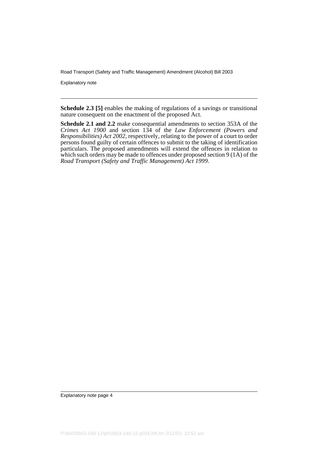Explanatory note

**Schedule 2.3 [5]** enables the making of regulations of a savings or transitional nature consequent on the enactment of the proposed Act.

**Schedule 2.1 and 2.2** make consequential amendments to section 353A of the *Crimes Act 1900* and section 134 of the *Law Enforcement (Powers and Responsibilities) Act 2002*, respectively, relating to the power of a court to order persons found guilty of certain offences to submit to the taking of identification particulars. The proposed amendments will extend the offences in relation to which such orders may be made to offences under proposed section 9 (1A) of the *Road Transport (Safety and Traffic Management) Act 1999*.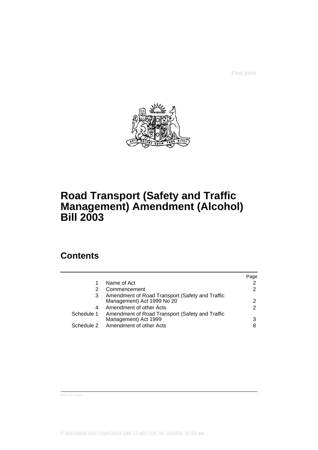First print



# **Road Transport (Safety and Traffic Management) Amendment (Alcohol) Bill 2003**

## **Contents**

|            |                                                                               | Page          |
|------------|-------------------------------------------------------------------------------|---------------|
|            | Name of Act                                                                   | 2             |
|            | Commencement                                                                  | 2             |
| 3          | Amendment of Road Transport (Safety and Traffic<br>Management) Act 1999 No 20 | 2             |
| 4          | Amendment of other Acts                                                       | $\mathcal{P}$ |
| Schedule 1 | Amendment of Road Transport (Safety and Traffic<br>Management) Act 1999       | 3             |
|            | Schedule 2 Amendment of other Acts                                            | 8             |

b03-140-12.p01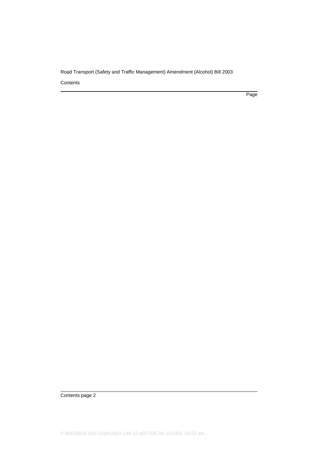**Contents** 

Page

Contents page 2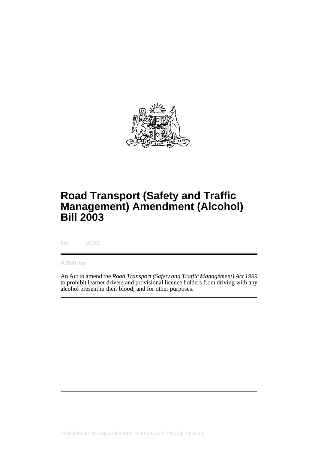

No , 2003

#### **A Bill for**

An Act to amend the *Road Transport (Safety and Traffic Management) Act 1999* to prohibit learner drivers and provisional licence holders from driving with any alcohol present in their blood; and for other purposes.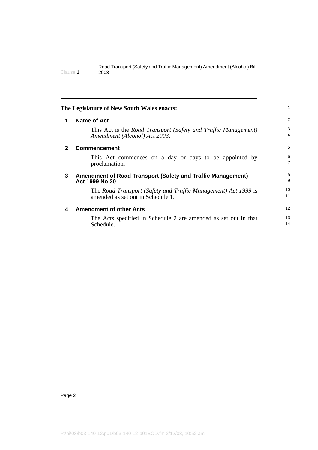<span id="page-7-3"></span><span id="page-7-2"></span><span id="page-7-1"></span><span id="page-7-0"></span>

|   | The Legislature of New South Wales enacts:                                                             | 1                   |
|---|--------------------------------------------------------------------------------------------------------|---------------------|
| 1 | Name of Act                                                                                            | 2                   |
|   | This Act is the <i>Road Transport (Safety and Traffic Management)</i><br>Amendment (Alcohol) Act 2003. | 3<br>$\overline{4}$ |
| 2 | <b>Commencement</b>                                                                                    | 5                   |
|   | This Act commences on a day or days to be appointed by<br>proclamation.                                | 6<br>$\overline{7}$ |
| 3 | Amendment of Road Transport (Safety and Traffic Management)<br>Act 1999 No 20                          | 8<br>9              |
|   | The Road Transport (Safety and Traffic Management) Act 1999 is<br>amended as set out in Schedule 1.    | 10<br>11            |
| 4 | <b>Amendment of other Acts</b>                                                                         | 12                  |
|   | The Acts specified in Schedule 2 are amended as set out in that<br>Schedule.                           | 13<br>14            |
|   |                                                                                                        |                     |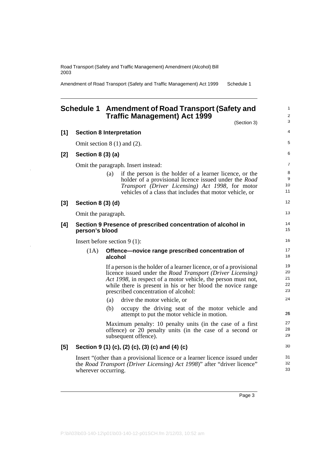Amendment of Road Transport (Safety and Traffic Management) Act 1999 Schedule 1

#### <span id="page-8-0"></span>**Schedule 1 Amendment of Road Transport (Safety and Traffic Management) Act 1999** (Section 3) **[1] Section 8 Interpretation** Omit section 8 (1) and (2). **[2] Section 8 (3) (a)** Omit the paragraph. Insert instead: (a) if the person is the holder of a learner licence, or the holder of a provisional licence issued under the *Road Transport (Driver Licensing) Act 1998*, for motor vehicles of a class that includes that motor vehicle, or **[3] Section 8 (3) (d)** Omit the paragraph. **[4] Section 9 Presence of prescribed concentration of alcohol in person's blood** Insert before section 9 (1): (1A) **Offence—novice range prescribed concentration of alcohol** If a person is the holder of a learner licence, or of a provisional licence issued under the *Road Transport (Driver Licensing) Act 1998*, in respect of a motor vehicle, the person must not, while there is present in his or her blood the novice range prescribed concentration of alcohol: (a) drive the motor vehicle, or (b) occupy the driving seat of the motor vehicle and attempt to put the motor vehicle in motion. Maximum penalty: 10 penalty units (in the case of a first offence) or 20 penalty units (in the case of a second or subsequent offence). **[5] Section 9 (1) (c), (2) (c), (3) (c) and (4) (c)** Insert "(other than a provisional licence or a learner licence issued under the *Road Transport (Driver Licensing) Act 1998*)" after "driver licence" 1 2 3 4 5 6 7 8 9 10 11 12 13 14 15 16 17 18 19 20 21 22 23 24 256 27 28 29  $30$ 31 32

Page 3

33

wherever occurring.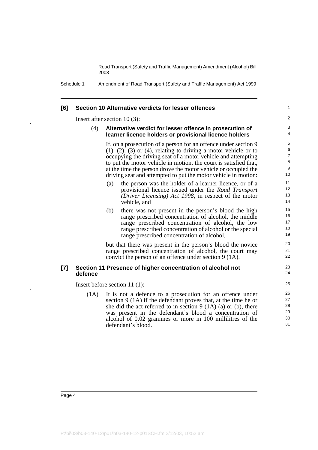Schedule 1 Amendment of Road Transport (Safety and Traffic Management) Act 1999

#### **[6] Section 10 Alternative verdicts for lesser offences**

Insert after section 10 (3):

#### (4) **Alternative verdict for lesser offence in prosecution of learner licence holders or provisional licence holders**

If, on a prosecution of a person for an offence under section 9 (1), (2), (3) or (4), relating to driving a motor vehicle or to occupying the driving seat of a motor vehicle and attempting to put the motor vehicle in motion, the court is satisfied that, at the time the person drove the motor vehicle or occupied the driving seat and attempted to put the motor vehicle in motion:

- (a) the person was the holder of a learner licence, or of a provisional licence issued under the *Road Transport (Driver Licensing) Act 1998*, in respect of the motor vehicle, and
- (b) there was not present in the person's blood the high range prescribed concentration of alcohol, the middle range prescribed concentration of alcohol, the low range prescribed concentration of alcohol or the special range prescribed concentration of alcohol,

but that there was present in the person's blood the novice range prescribed concentration of alcohol, the court may convict the person of an offence under section 9 (1A).

#### **[7] Section 11 Presence of higher concentration of alcohol not defence**

Insert before section 11 (1):

(1A) It is not a defence to a prosecution for an offence under section 9 (1A) if the defendant proves that, at the time he or she did the act referred to in section  $9(1A)(a)$  or (b), there was present in the defendant's blood a concentration of alcohol of 0.02 grammes or more in 100 millilitres of the defendant's blood.

Page 4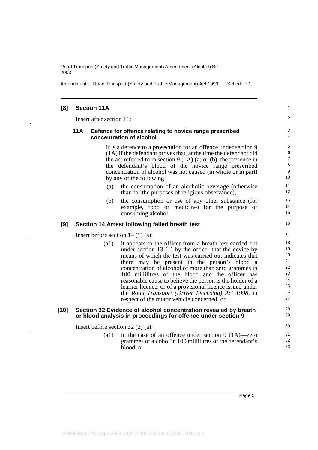Amendment of Road Transport (Safety and Traffic Management) Act 1999 Schedule 1

#### **[8] Section 11A** Insert after section 11: **11A Defence for offence relating to novice range prescribed concentration of alcohol** It is a defence to a prosecution for an offence under section 9 (1A) if the defendant proves that, at the time the defendant did the act referred to in section  $9(1A)(a)$  or (b), the presence in the defendant's blood of the novice range prescribed concentration of alcohol was not caused (in whole or in part) by any of the following: (a) the consumption of an alcoholic beverage (otherwise than for the purposes of religious observance), (b) the consumption or use of any other substance (for example, food or medicine) for the purpose of consuming alcohol. **[9] Section 14 Arrest following failed breath test** Insert before section 14 (1) (a): (a1) it appears to the officer from a breath test carried out under section 13 (1) by the officer that the device by means of which the test was carried out indicates that there may be present in the person's blood a concentration of alcohol of more than zero grammes in 100 millilitres of the blood and the officer has reasonable cause to believe the person is the holder of a learner licence, or of a provisional licence issued under the *Road Transport (Driver Licensing) Act 1998*, in respect of the motor vehicle concerned, or **[10] Section 32 Evidence of alcohol concentration revealed by breath or blood analysis in proceedings for offence under section 9** Insert before section 32 (2) (a): (a1) in the case of an offence under section 9 (1A)—zero grammes of alcohol in 100 millilitres of the defendant's blood, or 1  $\mathfrak{p}$ 3 4 5 6 7 8 9 10 11 12 13 14 15 16 17 18 19 20 21 22 23 24 25 26 27 28 29 30 31 32 33

Page 5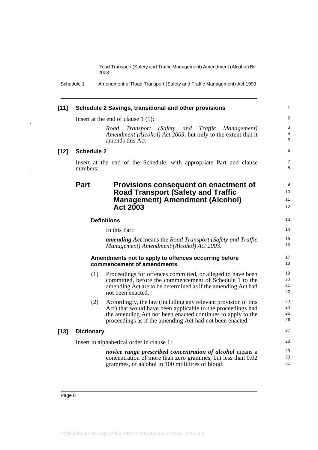Schedule 1 Amendment of Road Transport (Safety and Traffic Management) Act 1999

| $[11]$ |                    | Schedule 2 Savings, transitional and other provisions                                                                                                                                                                                                    | $\mathbf{1}$             |
|--------|--------------------|----------------------------------------------------------------------------------------------------------------------------------------------------------------------------------------------------------------------------------------------------------|--------------------------|
|        |                    | Insert at the end of clause $1(1)$ :                                                                                                                                                                                                                     | 2                        |
|        |                    | Road Transport (Safety and Traffic Management)<br>Amendment (Alcohol) Act 2003, but only to the extent that it<br>amends this Act                                                                                                                        | 3<br>$\overline{4}$<br>5 |
| $[12]$ | <b>Schedule 2</b>  |                                                                                                                                                                                                                                                          | 6                        |
|        | numbers:           | Insert at the end of the Schedule, with appropriate Part and clause                                                                                                                                                                                      | $\overline{7}$<br>8      |
|        | <b>Part</b>        | Provisions consequent on enactment of<br><b>Road Transport (Safety and Traffic</b><br><b>Management) Amendment (Alcohol)</b><br><b>Act 2003</b>                                                                                                          | 9<br>10<br>11<br>12      |
|        | <b>Definitions</b> |                                                                                                                                                                                                                                                          | 13                       |
|        |                    | In this Part:                                                                                                                                                                                                                                            | 14                       |
|        |                    | <b>amending Act</b> means the Road Transport (Safety and Traffic<br>Management) Amendment (Alcohol) Act 2003.                                                                                                                                            | 15<br>16                 |
|        |                    | Amendments not to apply to offences occurring before<br>commencement of amendments                                                                                                                                                                       | 17<br>18                 |
|        | (1)                | Proceedings for offences committed, or alleged to have been<br>committed, before the commencement of Schedule 1 to the<br>amending Act are to be determined as if the amending Act had<br>not been enacted.                                              | 19<br>20<br>21<br>22     |
|        | (2)                | Accordingly, the law (including any relevant provision of this<br>Act) that would have been applicable to the proceedings had<br>the amending Act not been enacted continues to apply to the<br>proceedings as if the amending Act had not been enacted. | 23<br>24<br>25<br>26     |
| $[13]$ | <b>Dictionary</b>  |                                                                                                                                                                                                                                                          | 27                       |
|        |                    | Insert in alphabetical order in clause 1:                                                                                                                                                                                                                | 28                       |
|        |                    | novice range prescribed concentration of alcohol means a<br>concentration of more than zero grammes, but less than 0.02<br>grammes, of alcohol in 100 millilitres of blood.                                                                              | 29<br>30<br>31           |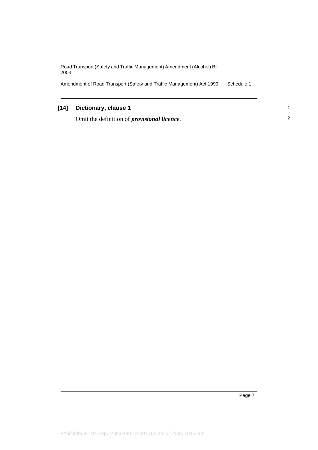| Road Transport (Safety and Traffic Management) Amendment (Alcohol) Bill<br>2003 |            |
|---------------------------------------------------------------------------------|------------|
| Amendment of Road Transport (Safety and Traffic Management) Act 1999            | Schedule 1 |

### **[14] Dictionary, clause 1**

Omit the definition of *provisional licence*.

1 2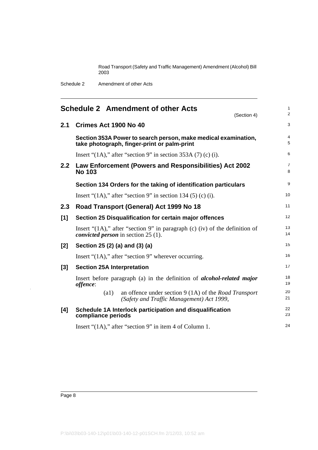<span id="page-13-0"></span>

|                  | <b>Schedule 2 Amendment of other Acts</b><br>(Section 4)                                                                         | $\mathbf 1$<br>$\overline{2}$ |
|------------------|----------------------------------------------------------------------------------------------------------------------------------|-------------------------------|
| 2.1              | Crimes Act 1900 No 40                                                                                                            | 3                             |
|                  | Section 353A Power to search person, make medical examination,<br>take photograph, finger-print or palm-print                    | 4<br>5                        |
|                  | Insert " $(1A)$ ," after "section 9" in section 353A (7) (c) (i).                                                                | 6                             |
| 2.2 <sub>2</sub> | Law Enforcement (Powers and Responsibilities) Act 2002<br><b>No 103</b>                                                          | 7<br>8                        |
|                  | Section 134 Orders for the taking of identification particulars                                                                  | 9                             |
|                  | Insert " $(1A)$ ," after "section 9" in section 134 (5) (c) (i).                                                                 | 10                            |
| 2.3              | Road Transport (General) Act 1999 No 18                                                                                          | 11                            |
| $[1]$            | Section 25 Disqualification for certain major offences                                                                           | 12                            |
|                  | Insert " $(1A)$ ," after "section 9" in paragraph (c) (iv) of the definition of<br><i>convicted person</i> in section $25(1)$ .  | 13<br>14                      |
| [2]              | Section 25 (2) (a) and (3) (a)                                                                                                   | 15                            |
|                  | Insert " $(1A)$ ," after "section 9" wherever occurring.                                                                         | 16                            |
| [3]              | <b>Section 25A Interpretation</b>                                                                                                | 17                            |
|                  | Insert before paragraph (a) in the definition of <i>alcohol-related major</i><br>offence:                                        | 18<br>19                      |
|                  | an offence under section $9(1A)$ of the <i>Road Transport</i><br>$\left( a1\right)$<br>(Safety and Traffic Management) Act 1999, | 20<br>21                      |
| [4]              | Schedule 1A Interlock participation and disqualification<br>compliance periods                                                   | 22<br>23                      |
|                  | Insert " $(1A)$ ," after "section 9" in item 4 of Column 1.                                                                      | 24                            |